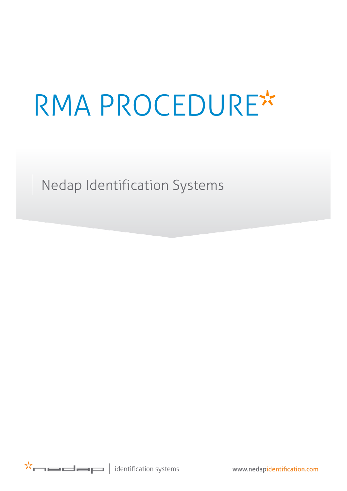# RMA PROCEDURE

Nedap Identification Systems

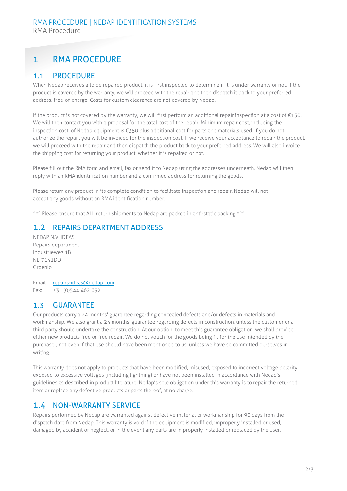# 1 RMA PROCEDURE

### 1.1 PROCEDURE

When Nedap receives a to be repaired product, it is first inspected to determine if it is under warranty or not. If the product is covered by the warranty, we will proceed with the repair and then dispatch it back to your preferred address, free-of-charge. Costs for custom clearance are not covered by Nedap.

If the product is not covered by the warranty, we will first perform an additional repair inspection at a cost of  $\epsilon$ 150. We will then contact you with a proposal for the total cost of the repair. Minimum repair cost, including the inspection cost, of Nedap equipment is €350 plus additional cost for parts and materials used. If you do not authorize the repair, you will be invoiced for the inspection cost. If we receive your acceptance to repair the product, we will proceed with the repair and then dispatch the product back to your preferred address. We will also invoice the shipping cost for returning your product, whether it is repaired or not.

Please fill out the RMA form and email, fax or send it to Nedap using the addresses underneath. Nedap will then reply with an RMA identification number and a confirmed address for returning the goods.

Please return any product in its complete condition to facilitate inspection and repair. Nedap will not accept any goods without an RMA identification number.

\*\*\* Please ensure that ALL return shipments to Nedap are packed in anti-static packing \*\*\*

#### 1.2 REPAIRS DEPARTMENT ADDRESS

NEDAP N.V. IDEAS Repairs department Industrieweg 1B NL-7141DD Groenlo

Email: [repairs-ideas@nedap.com](mailto:repairs-ideas@nedap.com) Fax: +31 (0)544 462 632

#### 1.3 GUARANTEE

Our products carry a 24 months' guarantee regarding concealed defects and/or defects in materials and workmanship. We also grant a 24 months' guarantee regarding defects in construction, unless the customer or a third party should undertake the construction. At our option, to meet this guarantee obligation, we shall provide either new products free or free repair. We do not vouch for the goods being fit for the use intended by the purchaser, not even if that use should have been mentioned to us, unless we have so committed ourselves in writing.

This warranty does not apply to products that have been modified, misused, exposed to incorrect voltage polarity, exposed to excessive voltages (including lightning) or have not been installed in accordance with Nedap's guidelines as described in product literature. Nedap's sole obligation under this warranty is to repair the returned item or replace any defective products or parts thereof, at no charge.

#### 1.4 NON-WARRANTY SERVICE

Repairs performed by Nedap are warranted against defective material or workmanship for 90 days from the dispatch date from Nedap. This warranty is void if the equipment is modified, improperly installed or used, damaged by accident or neglect, or in the event any parts are improperly installed or replaced by the user.